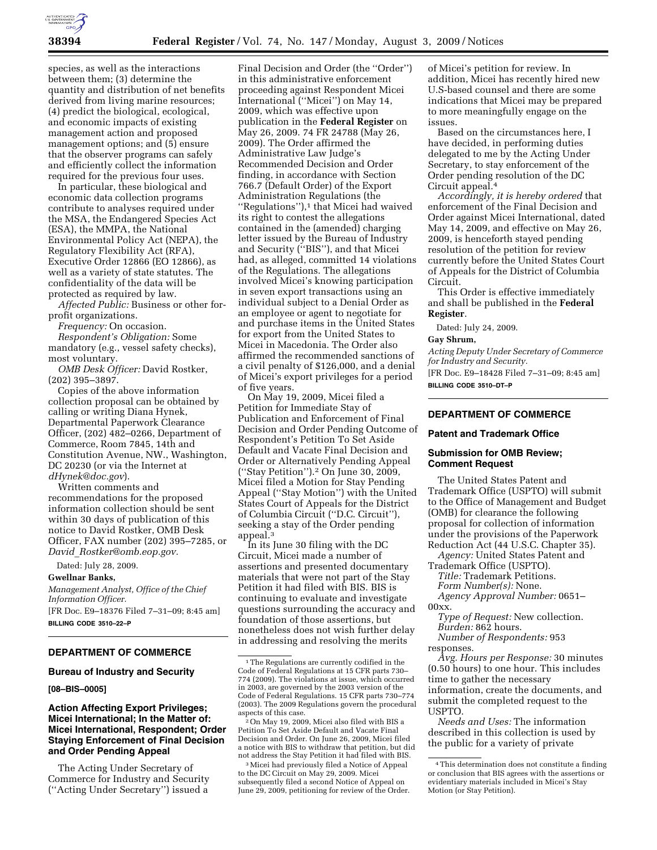

species, as well as the interactions between them; (3) determine the quantity and distribution of net benefits derived from living marine resources; (4) predict the biological, ecological, and economic impacts of existing management action and proposed management options; and (5) ensure that the observer programs can safely and efficiently collect the information required for the previous four uses.

In particular, these biological and economic data collection programs contribute to analyses required under the MSA, the Endangered Species Act (ESA), the MMPA, the National Environmental Policy Act (NEPA), the Regulatory Flexibility Act (RFA), Executive Order 12866 (EO 12866), as well as a variety of state statutes. The confidentiality of the data will be protected as required by law.

*Affected Public:* Business or other forprofit organizations.

*Frequency:* On occasion.

*Respondent's Obligation:* Some mandatory (e.g., vessel safety checks), most voluntary.

*OMB Desk Officer:* David Rostker, (202) 395–3897.

Copies of the above information collection proposal can be obtained by calling or writing Diana Hynek, Departmental Paperwork Clearance Officer, (202) 482–0266, Department of Commerce, Room 7845, 14th and Constitution Avenue, NW., Washington, DC 20230 (or via the Internet at *dHynek@doc.gov*).

Written comments and recommendations for the proposed information collection should be sent within 30 days of publication of this notice to David Rostker, OMB Desk Officer, FAX number (202) 395–7285, or *David*\_*Rostker@omb.eop.gov.* 

### Dated: July 28, 2009.

**Gwellnar Banks,** 

*Management Analyst, Office of the Chief Information Officer.* 

[FR Doc. E9–18376 Filed 7–31–09; 8:45 am] **BILLING CODE 3510–22–P** 

# **DEPARTMENT OF COMMERCE**

### **Bureau of Industry and Security**

**[08–BIS–0005]** 

# **Action Affecting Export Privileges; Micei International; In the Matter of: Micei International, Respondent; Order Staying Enforcement of Final Decision and Order Pending Appeal**

The Acting Under Secretary of Commerce for Industry and Security (''Acting Under Secretary'') issued a

Final Decision and Order (the ''Order'') in this administrative enforcement proceeding against Respondent Micei International (''Micei'') on May 14, 2009, which was effective upon publication in the **Federal Register** on May 26, 2009. 74 FR 24788 (May 26, 2009). The Order affirmed the Administrative Law Judge's Recommended Decision and Order finding, in accordance with Section 766.7 (Default Order) of the Export Administration Regulations (the "Regulations"),<sup>1</sup> that Micei had waived its right to contest the allegations contained in the (amended) charging letter issued by the Bureau of Industry and Security (''BIS''), and that Micei had, as alleged, committed 14 violations of the Regulations. The allegations involved Micei's knowing participation in seven export transactions using an individual subject to a Denial Order as an employee or agent to negotiate for and purchase items in the United States for export from the United States to Micei in Macedonia. The Order also affirmed the recommended sanctions of a civil penalty of \$126,000, and a denial of Micei's export privileges for a period of five years.

On May 19, 2009, Micei filed a Petition for Immediate Stay of Publication and Enforcement of Final Decision and Order Pending Outcome of Respondent's Petition To Set Aside Default and Vacate Final Decision and Order or Alternatively Pending Appeal (''Stay Petition'').2 On June 30, 2009, Micei filed a Motion for Stay Pending Appeal (''Stay Motion'') with the United States Court of Appeals for the District of Columbia Circuit (''D.C. Circuit''), seeking a stay of the Order pending appeal.<sup>3</sup>

In its June 30 filing with the DC Circuit, Micei made a number of assertions and presented documentary materials that were not part of the Stay Petition it had filed with BIS. BIS is continuing to evaluate and investigate questions surrounding the accuracy and foundation of those assertions, but nonetheless does not wish further delay in addressing and resolving the merits

<sup>2</sup> On May 19, 2009, Micei also filed with BIS a Petition To Set Aside Default and Vacate Final Decision and Order. On June 26, 2009, Micei filed a notice with BIS to withdraw that petition, but did

<sup>3</sup> Micei had previously filed a Notice of Appeal to the DC Circuit on May 29, 2009. Micei subsequently filed a second Notice of Appeal on June 29, 2009, petitioning for review of the Order.

of Micei's petition for review. In addition, Micei has recently hired new U.S-based counsel and there are some indications that Micei may be prepared to more meaningfully engage on the issues.

Based on the circumstances here, I have decided, in performing duties delegated to me by the Acting Under Secretary, to stay enforcement of the Order pending resolution of the DC Circuit appeal.4

*Accordingly, it is hereby ordered* that enforcement of the Final Decision and Order against Micei International, dated May 14, 2009, and effective on May 26, 2009, is henceforth stayed pending resolution of the petition for review currently before the United States Court of Appeals for the District of Columbia Circuit.

This Order is effective immediately and shall be published in the **Federal Register**.

Dated: July 24, 2009.

#### **Gay Shrum,**

*Acting Deputy Under Secretary of Commerce for Industry and Security.* 

[FR Doc. E9–18428 Filed 7–31–09; 8:45 am] **BILLING CODE 3510–DT–P** 

# **DEPARTMENT OF COMMERCE**

### **Patent and Trademark Office**

# **Submission for OMB Review; Comment Request**

The United States Patent and Trademark Office (USPTO) will submit to the Office of Management and Budget (OMB) for clearance the following proposal for collection of information under the provisions of the Paperwork Reduction Act (44 U.S.C. Chapter 35).

*Agency:* United States Patent and Trademark Office (USPTO).

*Title:* Trademark Petitions.

*Form Number(s):* None.

*Agency Approval Number:* 0651–  $00xx$ .

*Type of Request:* New collection.

*Burden:* 862 hours.

*Number of Respondents:* 953 responses.

*Avg. Hours per Response:* 30 minutes (0.50 hours) to one hour. This includes time to gather the necessary information, create the documents, and submit the completed request to the USPTO.

*Needs and Uses:* The information described in this collection is used by the public for a variety of private

<sup>1</sup>The Regulations are currently codified in the Code of Federal Regulations at 15 CFR parts 730– 774 (2009). The violations at issue, which occurred in 2003, are governed by the 2003 version of the Code of Federal Regulations. 15 CFR parts 730–774 (2003). The 2009 Regulations govern the procedural

<sup>4</sup>This determination does not constitute a finding or conclusion that BIS agrees with the assertions or evidentiary materials included in Micei's Stay Motion (or Stay Petition).